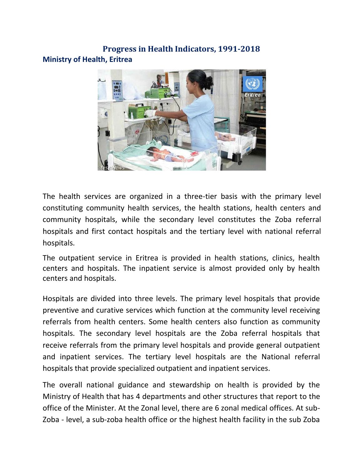# **Progress in Health Indicators, 1991-2018 Ministry of Health, Eritrea**



The health services are organized in a three-tier basis with the primary level constituting community health services, the health stations, health centers and community hospitals, while the secondary level constitutes the Zoba referral hospitals and first contact hospitals and the tertiary level with national referral hospitals.

The outpatient service in Eritrea is provided in health stations, clinics, health centers and hospitals. The inpatient service is almost provided only by health centers and hospitals.

Hospitals are divided into three levels. The primary level hospitals that provide preventive and curative services which function at the community level receiving referrals from health centers. Some health centers also function as community hospitals. The secondary level hospitals are the Zoba referral hospitals that receive referrals from the primary level hospitals and provide general outpatient and inpatient services. The tertiary level hospitals are the National referral hospitals that provide specialized outpatient and inpatient services.

The overall national guidance and stewardship on health is provided by the Ministry of Health that has 4 departments and other structures that report to the office of the Minister. At the Zonal level, there are 6 zonal medical offices. At sub-Zoba - level, a sub-zoba health office or the highest health facility in the sub Zoba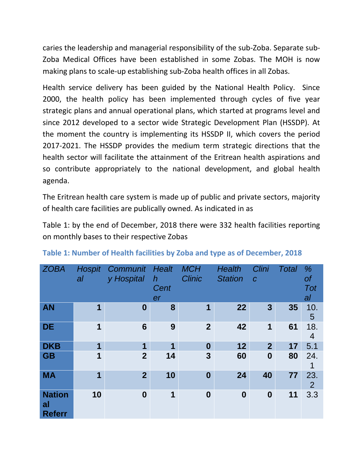caries the leadership and managerial responsibility of the sub-Zoba. Separate sub-Zoba Medical Offices have been established in some Zobas. The MOH is now making plans to scale-up establishing sub-Zoba health offices in all Zobas.

Health service delivery has been guided by the National Health Policy. Since 2000, the health policy has been implemented through cycles of five year strategic plans and annual operational plans, which started at programs level and since 2012 developed to a sector wide Strategic Development Plan (HSSDP). At the moment the country is implementing its HSSDP II, which covers the period 2017-2021. The HSSDP provides the medium term strategic directions that the health sector will facilitate the attainment of the Eritrean health aspirations and so contribute appropriately to the national development, and global health agenda.

The Eritrean health care system is made up of public and private sectors, majority of health care facilities are publically owned. As indicated in [as](#page-1-0)

<span id="page-1-0"></span>[Table](#page-1-0) 1: by the end of December, 2018 there were 332 health facilities reporting on monthly bases to their respective Zobas

| <b>ZOBA</b>                          | <b>Hospit</b><br>al | Communit<br>y Hospital | Healt<br>$\boldsymbol{h}$<br>Cent<br>er | <b>MCH</b><br><b>Clinic</b> | <b>Health</b><br><b>Station</b> | Clini<br>$\boldsymbol{C}$ | <b>Total</b> | %<br>0f<br><b>Tot</b><br>al |
|--------------------------------------|---------------------|------------------------|-----------------------------------------|-----------------------------|---------------------------------|---------------------------|--------------|-----------------------------|
| <b>AN</b>                            | 1                   | $\bf{0}$               | 8                                       | 1                           | 22                              | 3                         | 35           | 10.<br>5                    |
| <b>DE</b>                            | 1                   | $6\phantom{1}6$        | 9                                       | $\overline{2}$              | 42                              | 1                         | 61           | 18.<br>4                    |
| <b>DKB</b>                           | 1                   | 1                      | 1                                       | $\boldsymbol{0}$            | 12                              | $\overline{2}$            | 17           | 5.1                         |
| <b>GB</b>                            | 1                   | $\overline{2}$         | 14                                      | 3                           | 60                              | $\boldsymbol{0}$          | 80           | 24.                         |
| <b>MA</b>                            | 1                   | $\overline{2}$         | 10                                      | $\bf{0}$                    | 24                              | 40                        | 77           | 23.<br>$\overline{2}$       |
| <b>Nation</b><br>al<br><b>Referr</b> | 10                  | $\boldsymbol{0}$       | 1                                       | $\boldsymbol{0}$            | $\boldsymbol{0}$                | $\boldsymbol{0}$          | 11           | 3.3                         |

### **Table 1: Number of Health facilities by Zoba and type as of December, 2018**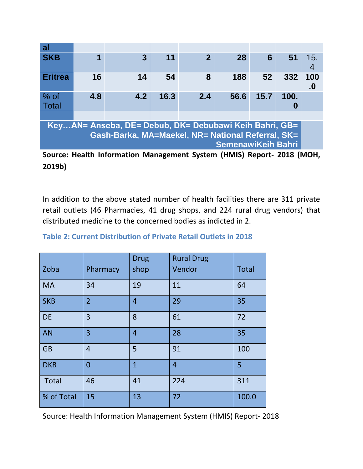| al                                                                    |     |                |      |                |      |      |      |              |
|-----------------------------------------------------------------------|-----|----------------|------|----------------|------|------|------|--------------|
| <b>SKB</b>                                                            | 1   | $\overline{3}$ | 11   | $\overline{2}$ | 28   | 6    | 51   | 15.          |
|                                                                       |     |                |      |                |      |      |      | 4            |
| <b>Eritrea</b>                                                        | 16  | 14             | 54   | 8              | 188  | 52   | 332  | 100          |
|                                                                       |     |                |      |                |      |      |      | $\mathbf{0}$ |
| $%$ of                                                                | 4.8 | 4.2            | 16.3 | 2.4            | 56.6 | 15.7 | 100. |              |
| <b>Total</b>                                                          |     |                |      |                |      |      | 0    |              |
|                                                                       |     |                |      |                |      |      |      |              |
| KeyAN= Anseba, DE= Debub, DK= Debubawi Keih Bahri, GB=                |     |                |      |                |      |      |      |              |
| Gash-Barka, MA=Maekel, NR= National Referral, SK=                     |     |                |      |                |      |      |      |              |
| <b>SemenawiKeih Bahri</b>                                             |     |                |      |                |      |      |      |              |
| Source: Health Information Management System (HMIS) Report, 2018 (MOH |     |                |      |                |      |      |      |              |

**Source: Health Information Management System (HMIS) Report- 2018 (MOH, 2019b)**

In addition to the above stated number of health facilities there are 311 private retail outlets (46 Pharmacies, 41 drug shops, and 224 rural drug vendors) that distributed medicine to the concerned bodies as indicted in 2.

| Zoba         | Pharmacy       | <b>Drug</b><br>shop | <b>Rural Drug</b><br>Vendor | <b>Total</b> |
|--------------|----------------|---------------------|-----------------------------|--------------|
| <b>MA</b>    | 34             | 19                  | 11                          | 64           |
| <b>SKB</b>   | $\overline{2}$ | $\overline{4}$      | 29                          | 35           |
| <b>DE</b>    | 3              | 8                   | 61                          | 72           |
| <b>AN</b>    | 3              | $\overline{4}$      | 28                          | 35           |
| <b>GB</b>    | 4              | 5                   | 91                          | 100          |
| <b>DKB</b>   | $\overline{0}$ | $\overline{1}$      | $\overline{4}$              | 5            |
| <b>Total</b> | 46             | 41                  | 224                         | 311          |
| % of Total   | 15             | 13                  | 72                          | 100.0        |

| Table 2: Current Distribution of Private Retail Outlets in 2018 |  |  |  |  |  |  |
|-----------------------------------------------------------------|--|--|--|--|--|--|
|-----------------------------------------------------------------|--|--|--|--|--|--|

Source: Health Information Management System (HMIS) Report- 2018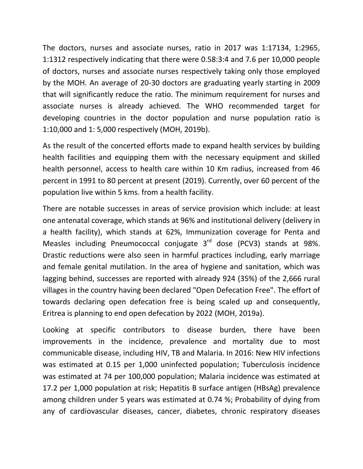The doctors, nurses and associate nurses, ratio in 2017 was 1:17134, 1:2965, 1:1312 respectively indicating that there were 0.58:3:4 and 7.6 per 10,000 people of doctors, nurses and associate nurses respectively taking only those employed by the MOH. An average of 20-30 doctors are graduating yearly starting in 2009 that will significantly reduce the ratio. The minimum requirement for nurses and associate nurses is already achieved. The WHO recommended target for developing countries in the doctor population and nurse population ratio is 1:10,000 and 1: 5,000 respectively (MOH, 2019b).

As the result of the concerted efforts made to expand health services by building health facilities and equipping them with the necessary equipment and skilled health personnel, access to health care within 10 Km radius, increased from 46 percent in 1991 to 80 percent at present (2019). Currently, over 60 percent of the population live within 5 kms. from a health facility.

There are notable successes in areas of service provision which include: at least one antenatal coverage, which stands at 96% and institutional delivery (delivery in a health facility), which stands at 62%, Immunization coverage for Penta and Measles including Pneumococcal conjugate  $3<sup>rd</sup>$  dose (PCV3) stands at 98%. Drastic reductions were also seen in harmful practices including, early marriage and female genital mutilation. In the area of hygiene and sanitation, which was lagging behind, successes are reported with already 924 (35%) of the 2,666 rural villages in the country having been declared "Open Defecation Free". The effort of towards declaring open defecation free is being scaled up and consequently, Eritrea is planning to end open defecation by 2022 (MOH, 2019a).

Looking at specific contributors to disease burden, there have been improvements in the incidence, prevalence and mortality due to most communicable disease, including HIV, TB and Malaria. In 2016: New HIV infections was estimated at 0.15 per 1,000 uninfected population; Tuberculosis incidence was estimated at 74 per 100,000 population; Malaria incidence was estimated at 17.2 per 1,000 population at risk; Hepatitis B surface antigen (HBsAg) prevalence among children under 5 years was estimated at 0.74 %; Probability of dying from any of cardiovascular diseases, cancer, diabetes, chronic respiratory diseases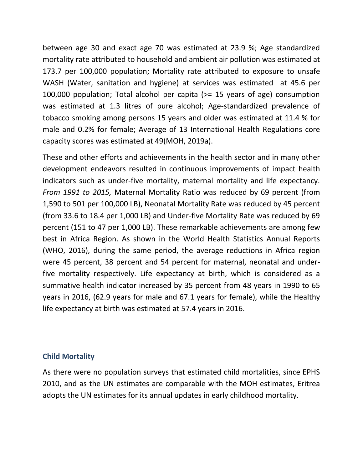between age 30 and exact age 70 was estimated at 23.9 %; Age standardized mortality rate attributed to household and ambient air pollution was estimated at 173.7 per 100,000 population; Mortality rate attributed to exposure to unsafe WASH (Water, sanitation and hygiene) at services was estimated at 45.6 per 100,000 population; Total alcohol per capita (>= 15 years of age) consumption was estimated at 1.3 litres of pure alcohol; Age-standardized prevalence of tobacco smoking among persons 15 years and older was estimated at 11.4 % for male and 0.2% for female; Average of 13 International Health Regulations core capacity scores was estimated at 49(MOH, 2019a).

These and other efforts and achievements in the health sector and in many other development endeavors resulted in continuous improvements of impact health indicators such as under-five mortality, maternal mortality and life expectancy. *From 1991 to 2015,* Maternal Mortality Ratio was reduced by 69 percent (from 1,590 to 501 per 100,000 LB), Neonatal Mortality Rate was reduced by 45 percent (from 33.6 to 18.4 per 1,000 LB) and Under-five Mortality Rate was reduced by 69 percent (151 to 47 per 1,000 LB). These remarkable achievements are among few best in Africa Region. As shown in the World Health Statistics Annual Reports (WHO, 2016), during the same period, the average reductions in Africa region were 45 percent, 38 percent and 54 percent for maternal, neonatal and underfive mortality respectively. Life expectancy at birth, which is considered as a summative health indicator increased by 35 percent from 48 years in 1990 to 65 years in 2016, (62.9 years for male and 67.1 years for female), while the Healthy life expectancy at birth was estimated at 57.4 years in 2016.

### **Child Mortality**

As there were no population surveys that estimated child mortalities, since EPHS 2010, and as the UN estimates are comparable with the MOH estimates, Eritrea adopts the UN estimates for its annual updates in early childhood mortality.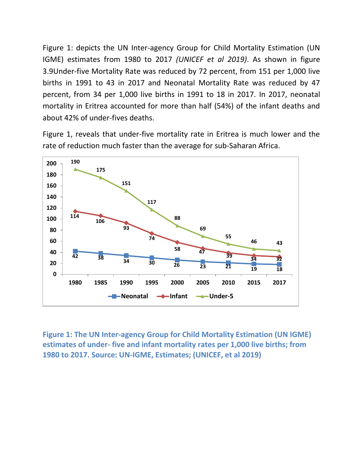[Figure](#page-5-0) 1: depicts the UN Inter-agency Group for Child Mortality Estimation (UN IGME) estimates from 1980 to 2017 *(UNICEF et al 2019)*. As shown in figure 3.9Under-five Mortality Rate was reduced by 72 percent, from 151 per 1,000 live births in 1991 to 43 in 2017 and Neonatal Mortality Rate was reduced by 47 percent, from 34 per 1,000 live births in 1991 to 18 in 2017. In 2017, neonatal mortality in Eritrea accounted for more than half (54%) of the infant deaths and about 42% of under-fives deaths.

Figure 1, reveals that under-five mortality rate in Eritrea is much lower and the rate of reduction much faster than the average for sub-Saharan Africa.



<span id="page-5-0"></span>**Figure 1: The UN Inter-agency Group for Child Mortality Estimation (UN IGME) estimates of under- five and infant mortality rates per 1,000 live births; from 1980 to 2017. Source: UN-IGME, Estimates; (UNICEF, et al 2019)**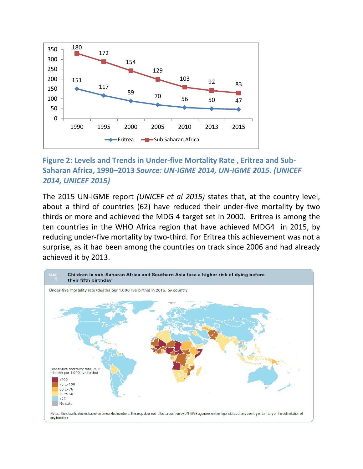

## **Figure 2: Levels and Trends in Under-five Mortality Rate , Eritrea and Sub-Saharan Africa, 1990–2013** *Source: UN-IGME 2014, UN-IGME 2015***.** *(UNICEF 2014, UNICEF 2015)*

The 2015 UN-IGME report *(UNICEF et al 2015)* states that, at the country level, about a third of countries (62) have reduced their under-five mortality by two thirds or more and achieved the MDG 4 target set in 2000. Eritrea is among the ten countries in the WHO Africa region that have achieved MDG4 in 2015, by reducing under-five mortality by two-third. For Eritrea this achievement was not a surprise, as it had been among the countries on track since 2006 and had already achieved it by 2013.

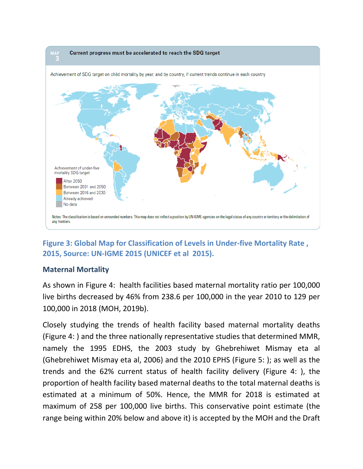

# **Figure 3: Global Map for Classification of Levels in Under-five Mortality Rate , 2015, Source: UN-IGME 2015 (UNICEF et al 2015).**

### **Maternal Mortality**

As shown in [Figure](#page-8-0) 4: health facilities based maternal mortality ratio per 100,000 live births decreased by 46% from 238.6 per 100,000 in the year 2010 to 129 per 100,000 in 2018 (MOH, 2019b).

Closely studying the trends of health facility based maternal mortality deaths [\(Figure](#page-8-0) 4: ) and the three nationally representative studies that determined MMR, namely the 1995 EDHS, the 2003 study by Ghebrehiwet Mismay eta al (Ghebrehiwet Mismay eta al, 2006) and the 2010 EPHS [\(Figure 5: \)](#page-9-0); as well as the trends and the 62% current status of health facility delivery [\(Figure](#page-8-0) 4: ), the proportion of health facility based maternal deaths to the total maternal deaths is estimated at a minimum of 50%. Hence, the MMR for 2018 is estimated at maximum of 258 per 100,000 live births. This conservative point estimate (the range being within 20% below and above it) is accepted by the MOH and the Draft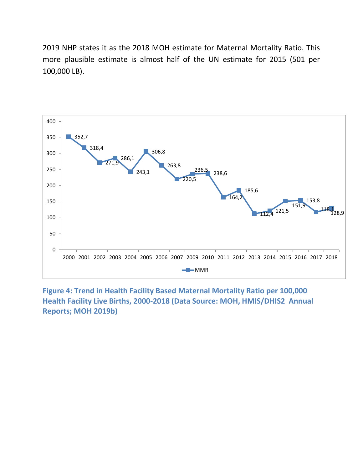2019 NHP states it as the 2018 MOH estimate for Maternal Mortality Ratio. This more plausible estimate is almost half of the UN estimate for 2015 (501 per 100,000 LB).



<span id="page-8-0"></span>**Figure 4: Trend in Health Facility Based Maternal Mortality Ratio per 100,000 Health Facility Live Births, 2000-2018 (Data Source: MOH, HMIS/DHIS2 Annual Reports; MOH 2019b)**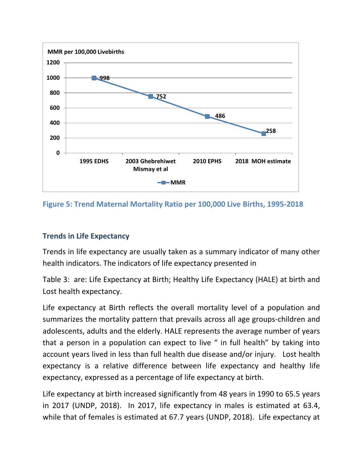

<span id="page-9-0"></span>**Figure 5: Trend Maternal Mortality Ratio per 100,000 Live Births, 1995-2018**

## **Trends in Life Expectancy**

Trends in life expectancy are usually taken as a summary indicator of many other health indicators. The indicators of life expectancy presented in

[Table](#page-10-0) 3: are: Life Expectancy at Birth; Healthy Life Expectancy (HALE) at birth and Lost health expectancy.

Life expectancy at Birth reflects the overall mortality level of a population and summarizes the mortality pattern that prevails across all age groups-children and adolescents, adults and the elderly. HALE represents the average number of years that a person in a population can expect to live " in full health" by taking into account years lived in less than full health due disease and/or injury. Lost health expectancy is a relative difference between life expectancy and healthy life expectancy, expressed as a percentage of life expectancy at birth.

Life expectancy at birth increased significantly from 48 years in 1990 to 65.5 years in 2017 (UNDP, 2018). In 2017, life expectancy in males is estimated at 63.4, while that of females is estimated at 67.7 years (UNDP, 2018). Life expectancy at